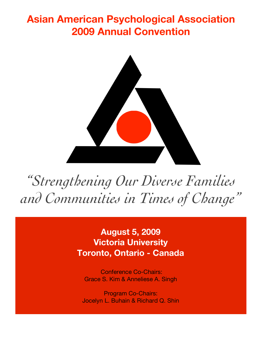# **Asian American Psychological Association 2009 Annual Convention**



# *"Strengthening Our Diverse Families and Communities in Times of Change"*

**August 5, 2009 Victoria University Toronto, Ontario - Canada**

 Conference Co-Chairs: Grace S. Kim & Anneliese A. Singh

Program Co-Chairs: Jocelyn L. Buhain & Richard Q. Shin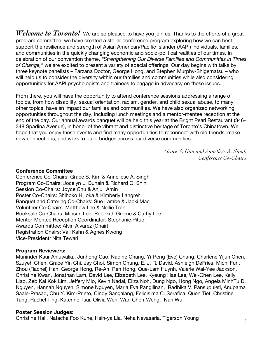*Welcome to Toronto!* We are so pleased to have you join us. Thanks to the efforts of a great program committee, we have created a stellar conference program exploring how we can best support the resilience and strength of Asian American/Pacific Islander (AAPI) individuals, families, and communities in the quickly changing economic and socio-political realities of our times. In celebration of our convention theme, *"Strengthening Our Diverse Families and Communities in Times of Change,"* we are excited to present a variety of special offerings. Our day begins with talks by three keynote panelists – Farzana Doctor, George Hong, and Stephen Murphy-Shigematsu – who will help us to consider the diversity within our families and communities while also considering opportunities for AAPI psychologists and trainees to engage in advocacy on these issues.

From there, you will have the opportunity to attend conference sessions addressing a range of topics, from how disability, sexual orientation, racism, gender, and child sexual abuse, to many other topics, have an impact our families and communities. We have also organized networking opportunities throughout the day, including lunch meetings and a mentor-mentee reception at the end of the day. Our annual awards banquet will be held this year at the Bright Pearl Restaurant (346- 348 Spadina Avenue), in honor of the vibrant and distinctive heritage of Toronto's Chinatown. We hope that you enjoy these events and find many opportunities to reconnect with old friends, make new connections, and work to build bridges across our diverse communities.

> *Grace S. Kim and Anneliese A. Singh Conference Co-Chairs*

#### **Conference Committee**

Conference Co-Chairs: Grace S. Kim & Anneliese A. Singh Program Co-Chairs: Jocelyn L. Buhain & Richard Q. Shin Session Co-Chairs: Joyce Chu & Anjuli Amin Poster Co-Chairs: Shihoko Hijioka & Kimberly Langrehr Banquet and Catering Co-Chairs: Sue Lambe & Jacki Mac Volunteer Co-Chairs: Matthew Lee & Nellie Tran Booksale Co-Chairs: Minsun Lee, Rebekah Grome & Cathy Lee Mentor-Mentee Reception Coordinator: Stephanie Pituc Awards Committee: Alvin Alvarez (Chair) Registration Chairs: Vali Kahn & Agnes Kwong Vice-President*:* Nita Tewari

#### **Program Reviewers:**

Muninder Kaur Ahluwalia,, Junhong Cao, Nadine Chang, Yi-Peng (Eve) Chang, Charlene Yijun Chen, Szuyeh Chen, Grace Yin Chi, Jay Choi, Simon Chung, E. J. R. David, Ashleigh DeFries, Michi Fun, Zhou (Rachel) Han, George Hong, Re-An Ren Hong, Que-Lam Huynh, Valerie Wai-Yee Jackson, Christine Kwan, Jonathan Lam, David Lee, Elizabeth Lee, Kyeung Hae Lee, Wei-Chen Lee, Kelly Liao, Zeb Kai Kok Lim, Jeffery Mio, Kevin Nadal, Eliza Noh, Dung Ngo, Hong Ngo, Angela MinhTu D. Nguyen, Hannah Nguyen, Simone Nguyen, Maria Eva Pangilinan, Radhika V. Pansupuleti, Anupama Saale-Prasad, Chu Y. Kim-Prieto, Cindy Sangalang, Felicisima C. Serafica, Quen Tiet, Christine Tang, Rachel Ting, Katerine Tsai, Olivia Wen, Wan Chen-Weng, Ivan Wu

#### **Poster Session Judges:**

Christine Hall, Natacha Foo Kune, Hsin-ya Lia, Neha Nevasaria, Tigerson Young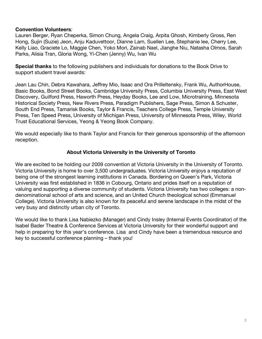# **Convention Volunteers***:*

Lauren Berger, Ryan Cheperka, Simon Chung, Angela Craig, Arpita Ghosh, Kimberly Gross, Ren Hong, Sujin (Suzie) Jeon, Anju Kaduvettoor, Dianne Lam, Suellen Lee, Stephanie lee, Cherry Lee, Kelly Liao, Graciete Lo, Maggie Chen, Yoko Mori, Zainab Nael, Jianghe Niu, Natasha Olmos, Sarah Parks, Alisia Tran, Gloria Wong, Yi-Chen (Jenny) Wu, Ivan Wu

**Special thanks** to the following publishers and individuals for donations to the Book Drive to support student travel awards:

Jean Lau Chin, Debra Kawahara, Jeffrey Mio, Isaac and Ora Prilleltensky, Frank Wu, AuthorHouse, Basic Books, Bond Street Books, Cambridge University Press, Columbia University Press, East West Discovery, Guilford Press, Haworth Press, Heyday Books, Lee and Low, Microtraining, Minnesota Historical Society Press, New Rivers Press, Paradigm Publishers, Sage Press, Simon & Schuster, South End Press, Tamarisk Books, Taylor & Francis, Teachers College Press, Temple University Press, Ten Speed Press, University of Michigan Press, University of Minnesota Press, Wiley, World Trust Educational Services, Yeong & Yeong Book Company.

We would especially like to thank Taylor and Francis for their generous sponsorship of the afternoon reception.

#### **About Victoria University in the University of Toronto**

We are excited to be holding our 2009 convention at Victoria University in the University of Toronto. Victoria University is home to over 3,500 undergraduates. Victoria University enjoys a reputation of being one of the strongest learning institutions in Canada. Bordering on Queen's Park, Victoria University was first established in 1836 in Cobourg, Ontario and prides itself on a reputation of valuing and supporting a diverse community of students. Victoria University has two colleges: a nondenominational school of arts and science, and an United Church theological school (Emmanuel College). Victoria University is also known for its peaceful and serene landscape in the midst of the very busy and distinctly urban city of Toronto.

We would like to thank Lisa Nabiezko (Manager) and Cindy Insley (Internal Events Coordinator) of the Isabel Bader Theatre & Conference Services at Victoria University for their wonderful support and help in preparing for this year's conference. Lisa and Cindy have been a tremendous resource and key to successful conference planning – thank you!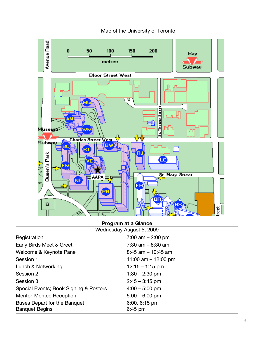

# Map of the University of Toronto

# **Program at a Glance**

| Wednesday August 5, 2009                              |                            |
|-------------------------------------------------------|----------------------------|
| Registration                                          | 7:00 am $-2:00$ pm         |
| Early Birds Meet & Greet                              | $7:30$ am $-8:30$ am       |
| Welcome & Keynote Panel                               | $8:45$ am $-10:45$ am      |
| Session 1                                             | 11:00 am $-$ 12:00 pm      |
| Lunch & Networking                                    | $12:15 - 1:15$ pm          |
| Session 2                                             | $1:30 - 2:30$ pm           |
| Session 3                                             | $2:45 - 3:45$ pm           |
| Special Events; Book Signing & Posters                | $4:00 - 5:00$ pm           |
| <b>Mentor-Mentee Reception</b>                        | $5:00 - 6:00$ pm           |
| Buses Depart for the Banquet<br><b>Banquet Begins</b> | 6:00, 6:15 pm<br>$6:45$ pm |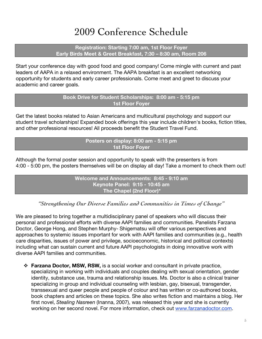# 2009 Conference Schedule

**Registration: Starting 7:00 am, 1st Floor Foyer Early Birds Meet & Greet Breakfast, 7:30 – 8:30 am, Room 206**

Start your conference day with good food and good company! Come mingle with current and past leaders of AAPA in a relaxed environment. The AAPA breakfast is an excellent networking opportunity for students and early career professionals. Come meet and greet to discuss your academic and career goals.

> **Book Drive for Student Scholarships: 8:00 am - 5:15 pm 1st Floor Foyer**

Get the latest books related to Asian Americans and multicultural psychology and support our student travel scholarships! Expanded book offerings this year include children's books, fiction titles, and other professional resources! All proceeds benefit the Student Travel Fund.

> **Posters on display: 8:00 am - 5:15 pm 1st Floor Foyer**

Although the formal poster session and opportunity to speak with the presenters is from 4:00 - 5:00 pm, the posters themselves will be on display all day! Take a moment to check them out!

> **Welcome and Announcements: 8:45 - 9:10 am Keynote Panel: 9:15 - 10:45 am The Chapel (2nd Floor)\***

*"Strengthening Our Diverse Families and Communities in Times of Change"*

We are pleased to bring together a multidisciplinary panel of speakers who will discuss their personal and professional efforts with diverse AAPI families and communities. Panelists Farzana Doctor, George Hong, and Stephen Murphy- Shigematsu will offer various perspectives and approaches to systemic issues important for work with AAPI families and communities (e.g., health care disparities, issues of power and privilege, socioeconomic, historical and political contexts) including what can sustain current and future AAPI psychologists in doing innovative work with diverse AAPI families and communities.

 **Farzana Doctor, MSW, RSW,** is a social worker and consultant in private practice, specializing in working with individuals and couples dealing with sexual orientation, gender identity, substance use, trauma and relationship issues. Ms. Doctor is also a clinical trainer specializing in group and individual counseling with lesbian, gay, bisexual, transgender, transsexual and queer people and people of colour and has written or co-authored books, book chapters and articles on these topics. She also writes fiction and maintains a blog. Her first novel, *Stealing Nasreen* (Inanna, 2007), was released this year and she is currently working on her second novel. For more information, check out www.farzanadoctor.com.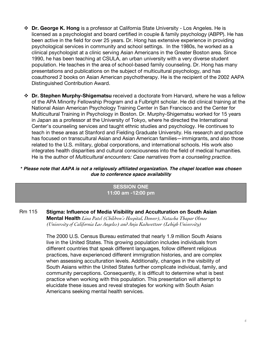- **Dr. George K. Hong** is a professor at California State University Los Angeles. He is licensed as a psychologist and board certified in couple & family psychology (ABPP). He has been active in the field for over 25 years. Dr. Hong has extensive experience in providing psychological services in community and school settings. In the 1980s, he worked as a clinical psychologist at a clinic serving Asian Americans in the Greater Boston area. Since 1990, he has been teaching at CSULA, an urban university with a very diverse student population. He teaches in the area of school-based family counseling. Dr. Hong has many presentations and publications on the subject of multicultural psychology, and has coauthored 2 books on Asian American psychotherapy. He is the recipient of the 2002 AAPA Distinguished Contribution Award.
- **Dr. Stephen Murphy-Shigematsu** received a doctorate from Harvard, where he was a fellow of the APA Minority Fellowship Program and a Fulbright scholar. He did clinical training at the National Asian American Psychology Training Center in San Francisco and the Center for Multicultural Training in Psychology in Boston. Dr. Murphy-Shigematsu worked for 15 years in Japan as a professor at the University of Tokyo, where he directed the International Center's counseling services and taught ethnic studies and psychology. He continues to teach in these areas at Stanford and Fielding Graduate University. His research and practice has focused on transcultural Asian and Asian American families—immigrants, and also those related to the U.S. military, global corporations, and international schools. His work also integrates health disparities and cultural consciousness into the field of medical humanities. He is the author of *Multicultural encounters: Case narratives from a counseling practice*.

#### *\* Please note that AAPA is not a religiously affiliated organization. The chapel location was chosen due to conference space availability*

# **SESSION ONE 11:00 am -12:00 pm**

#### Rm 115 **Stigma: Influence of Media Visibility and Acculturation on South Asian Mental Health** *Lina Patel (Children's Hospital, Denver), Natasha Thapar Olmos (University of California Los Angeles) and Anju Kaduvettoor (Lehigh University)*

The 2000 U.S. Census Bureau estimated that nearly 1.9 million South Asians live in the United States. This growing population includes individuals from different countries that speak different languages, follow different religious practices, have experienced different immigration histories, and are complex when assessing acculturation levels. Additionally, changes in the visibility of South Asians within the United States further complicate individual, family, and community perceptions. Consequently, it is difficult to determine what is best practice when working with this population. This presentation will attempt to elucidate these issues and reveal strategies for working with South Asian Americans seeking mental health services.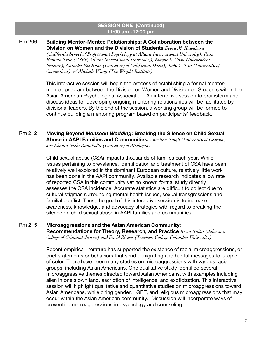# **SESSION ONE (Continued) 11:00 am -12:00 pm**

# Rm 206 **Building Mentor-Mentee Relationships: A Collaboration between the Division on Women and the Division of Students** *Debra M. Kawahara*

*(California School of Professional Psychology at Alliant International University), Reiko Homma True (CSPP, Alliant International University), Elayne L. Chou (Independent Practice), Natacha Foo Kune (University of California, Davis), Judy Y. Tan (University of Connecticut), & Michelle Wang (The Wright Institute)*

This interactive session will begin the process of establishing a formal mentormentee program between the Division on Women and Division on Students within the Asian American Psychological Association. An interactive session to brainstorm and discuss ideas for developing ongoing mentoring relationships will be facilitated by divisional leaders. By the end of the session, a working group will be formed to continue building a mentoring program based on participants' feedback.

# Rm 212 **Moving Beyond** *Monsoon Wedding***: Breaking the Silence on Child Sexual Abuse in AAPI Families and Communities.** *Anneliese Singh (University of Georgia) and Shanta Nishi Kanukollu (University of Michigan)*

Child sexual abuse (CSA) impacts thousands of families each year. While issues pertaining to prevalence, identification and treatment of CSA have been relatively well explored in the dominant European culture, relatively little work has been done in the AAPI community. Available research indicates a low rate of reported CSA in this community yet no known formal study directly assesses the CSA incidence. Accurate statistics are difficult to collect due to cultural stigmas surrounding mental health issues, sexual transgressions and familial conflict. Thus, the goal of this interactive session is to increase awareness, knowledge, and advocacy strategies with regard to breaking the silence on child sexual abuse in AAPI families and communities.

# Rm 215 **Microaggressions and the Asian American Community: Recommendations for Theory, Research, and Practice** *Kevin Nadal (John Jay College of Criminal Justice) and David Rivera (Teachers College-Columbia University)*

Recent empirical literature has supported the existence of racial microaggressions, or brief statements or behaviors that send denigrating and hurtful messages to people of color. There have been many studies on microaggressions with various racial groups, including Asian Americans. One qualitative study identified several microaggressive themes directed toward Asian Americans, with examples including alien in one's own land, ascription of intelligence, and exoticization. This interactive session will highlight qualitative and quantitative studies on microaggressions toward Asian Americans, while citing gender, LGBT, and religious microaggressions that may occur within the Asian American community. Discussion will incorporate ways of preventing microaggressions in psychology and counseling.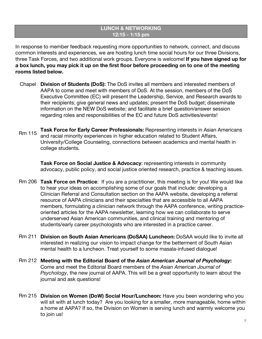# **LUNCH & NETWORKING 12:15 - 1:15 pm**

In response to member feedback requesting more opportunities to network, connect, and discuss common interests and experiences, we are hosting lunch time social hours for our three Divisions, three Task Forces, and two additional work groups. Everyone is welcome! **If you have signed up for a box lunch, you may pick it up on the first floor before proceeding on to one of the meeting rooms listed below.** 

- Chapel **Division of Students (DoS):** The DoS invites all members and interested members of AAPA to come and meet with members of DoS. At the session, members of the DoS Executive Committee (EC) will present the Leadership, Service, and Research awards to their recipients; give general news and updates; present the DoS budget; disseminate information on the NEW DoS website; and facilitate a brief question/answer session regarding roles and responsibilities of the EC and future DoS activities/events!
- Rm 115 **Task Force for Early Career Professionals:** Representing interests in Asian Americans and racial minority experiences in higher education related to Student Affairs, University/College Counseling, connections between academics and mental health in college students.

**Task Force on Social Justice & Advocacy**: representing interests in community advocacy, public policy, and social justice oriented research, practice & teaching issues.

- Rm 206 **Task Force on Practice**: If you are a practitioner, this meeting is for you! We would like to hear your ideas on accomplishing some of our goals that include: developing a Clinician Referral and Consultation section on the AAPA website, developing a referral resource of AAPA clinicians and their specialties that are accessible to all AAPA members, formulating a clinician network through the AAPA conference, writing practiceoriented articles for the AAPA newsletter, learning how we can collaborate to serve underserved Asian American communities, and clinical training and mentoring of students/early career psychologists who are interested in a practice career.
- Rm 211 **Division on South Asian Americans (DoSAA) Luncheon:** DoSAA would like to invite all interested in realizing our vision to impact change for the betterment of South Asian mental health to a luncheon. Treat yourself to some masala-infused dialogue!
- Rm 212 **Meeting with the Editorial Board of the** *Asian American Journal of Psychology***:**  Come and meet the Editorial Board members of the *Asian American Journal of Psychology*, the new journal of AAPA. This will be a great opportunity to learn about the journal and ask questions!
- Rm 215 **Division on Women (DoW) Social Hour/Luncheon:** Have you been wondering who you will sit with at lunch today? Are you looking for a smaller, more manageable, home within a home at AAPA? If so, the Division on Women is serving lunch and warmly welcome you to join us!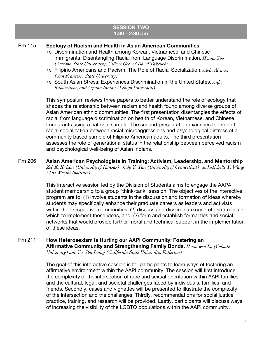# **SESSION TWO 1:30 - 2:30 pm**

# Rm 115 **Ecology of Racism and Health in Asian American Communities**

- Discrimination and Health among Korean, Vietnamese, and Chinese Immigrants: Disentangling Racial from Language Discrimination, *Hyung Yoo (Arizona State University), Gilbert Gee, & David Takeuchi*
- Filipino Americans and Racism: The Role of Racial Socialization, *Alvin Alvarez (San Francisco State University)*
- South Asian Stress: Experiences Discrimination in the United States, *Anju Kaduvettoor, and Arpana Inman (Lehigh University)*

This symposium reviews three papers to better understand the role of ecology that shapes the relationship between racism and health found among diverse groups of Asian American ethnic communities. The first presentation disentangles the effects of racial from language discrimination on health of Korean, Vietnamese, and Chinese Immigrants using a national sample. The second presentation examines the role of racial socialization between racial microaggressions and psychological distress of a community based sample of Filipino American adults. The third presentation assesses the role of generational status in the relationship between perceived racism and psychological well-being of Asian Indians.

#### Rm 206 **Asian American Psychologists in Training: Activism, Leadership, and Mentorship**  *Zeb K. K. Lim (University of Kansas), Judy Y. Tan (University of Connecticut), and Michelle Y. Wang (The Wright Institute)*

This interactive session led by the Division of Students aims to engage the AAPA student membership to a group "think-tank" session. The objectives of the interactive program are to: (1) involve students in the discussion and formation of ideas whereby students may specifically enhance their graduate careers as leaders and activists within their respective communities, (2) discuss and disseminate concrete strategies in which to implement these ideas, and, (3) form and establish formal ties and social networks that would provide further moral and technical support in the implementation of these ideas.

#### Rm 211 **How Heterosexism is Hurting our AAPI Community: Fostering an Affirmative Community and Strengthening Family Bonds.** *Hsiao-wen Lo (Colgate University) and Ya-Shu Liang (California State University, Fullerton)*

The goal of this interactive session is for participants to learn ways of fostering an affirmative environment within the AAPI community. The session will first introduce the complexity of the intersection of race and sexual orientation within AAPI families and the cultural, legal, and societal challenges faced by individuals, families, and friends. Secondly, cases and vignettes will be presented to illustrate the complexity of the intersection and the challenges. Thirdly, recommendations for social justice practice, training, and research will be provided. Lastly, participants will discuss ways of increasing the visibility of the LGBTQ populations within the AAPI community.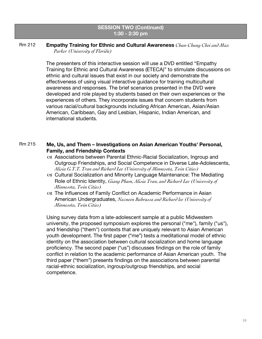# **SESSION TWO (Continued) 1:30 - 2:30 pm**

#### Rm 212 **Empathy Training for Ethnic and Cultural Awareness** *Chun-Chung Choi and Max Parker (University of Florida)*

The presenters of this interactive session will use a DVD entitled "Empathy Training for Ethnic and Cultural Awareness (ETECA)" to stimulate discussions on ethnic and cultural issues that exist in our society and demonstrate the effectiveness of using visual interactive guidance for training multicultural awareness and responses. The brief scenarios presented in the DVD were developed and role played by students based on their own experiences or the experiences of others. They incorporate issues that concern students from various racial/cultural backgrounds including African American, Asian/Asian American, Caribbean, Gay and Lesbian, Hispanic, Indian American, and international students.

# Rm 215 **Me, Us, and Them – Investigations on Asian American Youths' Personal, Family, and Friendship Contexts**

- Associations between Parental Ethnic-Racial Socialization, Ingroup and Outgroup Friendships, and Social Competence in Diverse Late-Adolescents, *Alisia G.T.T. Tran and Richard Lee (University of Minnesota, Twin Cities)*
- Cultural Socialization and Minority Language Maintenance: The Mediating Role of Ethnic Identity, *Giang Pham, Alisia Tran, and Richard Lee (University of Minnesota, Twin Cities)*
- The Influences of Family Conflict on Academic Performance in Asian American Undergraduates, *Nazneen Bahrassa and Richard lee (University of Minnesota, Twin Cities)*

Using survey data from a late-adolescent sample at a public Midwestern university, the proposed symposium explores the personal ("me"), family ("us"), and friendship ("them") contexts that are uniquely relevant to Asian American youth development. The first paper ("me") tests a meditational model of ethnic identity on the association between cultural socialization and home language proficiency. The second paper ("us") discusses findings on the role of family conflict in relation to the academic performance of Asian American youth. The third paper ("them") presents findings on the associations between parental racial-ethnic socialization, ingroup/outgroup friendships, and social competence.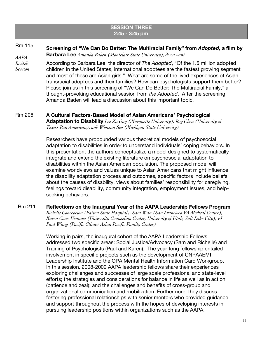# **SESSION THREE 2:45 - 3:45 pm**

#### Rm 115 **Screening of "We Can Do Better: The Multiracial Family" from** *Adopted,* **a film by Barbara Lee** *Amanda Baden (Montclair State University), discussant*

*AAPA*

*Invited Session* According to Barbara Lee, the director of *The Adopted*, "Of the 1.5 million adopted children in the United States, international adoptees are the fastest growing segment and most of these are Asian girls." What are some of the lived experiences of Asian transracial adoptees and their families? How can psychologists support them better? Please join us in this screening of "We Can Do Better: The Multiracial Family," a thought-provoking educational session from *the Adopted*. After the screening, Amanda Baden will lead a discussion about this important topic.

# Rm 206 **A Cultural Factors-Based Model of Asian Americans' Psychological**

**Adaptation to Disability** *Lee Za Ong (Marquette University), Roy Chen (University of Texas-Pan American), and Wonsun Seo (Michigan State University)*

Researchers have propounded various theoretical models of psychosocial adaptation to disabilities in order to understand individuals' coping behaviors. In this presentation, the authors conceptualize a model designed to systematically integrate and extend the existing literature on psychosocial adaptation to disabilities within the Asian American population. The proposed model will examine worldviews and values unique to Asian Americans that might influence the disability adaptation process and outcomes, specific factors include beliefs about the causes of disability, views about families' responsibility for caregiving, feelings toward disability, community integration, employment issues, and helpseeking behaviors.

Rm 211 **Reflections on the Inaugural Year of the AAPA Leadership Fellows Program**  *Richelle Concepcion (Patton State Hospital), Sam Wan (San Francisco VA Medical Center), Karen Cone-Uemura (University Counseling Center, University of Utah, Salt Lake City), & Paul Wang (Pacific Clinics-Asian Pacific Family Center)*

> Working in pairs, the inaugural cohort of the AAPA Leadership Fellows addressed two specific areas: Social Justice/Advocacy (Sam and Richelle) and Training of Psychologists (Paul and Karen). The year-long fellowship entailed involvement in specific projects such as the development of CNPAAEMI Leadership Institute and the OPA Mental Health Information Card Workgroup. In this session, 2008-2009 AAPA leadership fellows share their experiences exploring challenges and successes of large scale professional and state-level efforts; the strategies and considerations for balance in life as well as in action (patience and zeal); and the challenges and benefits of cross-group and organizational communication and mobilization. Furthermore, they discuss fostering professional relationships with senior mentors who provided guidance and support throughout the process with the hopes of developing interests in pursuing leadership positions within organizations such as the AAPA.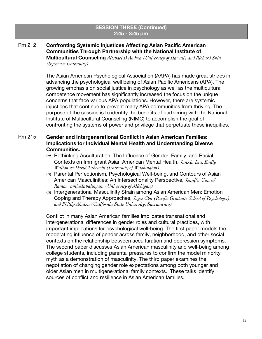# **SESSION THREE (Continued) 2:45 - 3:45 pm**

# Rm 212 **Confronting Systemic Injustices Affecting Asian Pacific American Communities Through Partnership with the National Institute of Multicultural Counseling** *Michael D'Andrea (University of Hawaii) and Richard Shin*

*(Syracuse University)*

The Asian American Psychological Association (AAPA) has made great strides in advancing the psychological well being of Asian Pacific Americans (APA). The growing emphasis on social justice in psychology as well as the multicultural competence movement has significantly increased the focus on the unique concerns that face various APA populations. However, there are systemic injustices that continue to prevent many APA communities from thriving. The purpose of the session is to identify the benefits of partnering with the National Institute of Multicultural Counseling (NIMC) to accomplish the goal of confronting the systems of power and privilege that perpetuate these inequities.

# Rm 215 **Gender and Intergenerational Conflict in Asian American Families: Implications for Individual Mental Health and Understanding Diverse Communities.**

- Rethinking Acculturation: The Influence of Gender, Family, and Racial Contexts on Immigrant Asian American Mental Health, *Janxin Leu, Emily Walton & David Takeuchi (University of Washington)*
- Parental Perfectionism, Psychological Well-being, and Contours of Asian American Masculinities: An Intersectionality Perspective, *Jennifer Yim & Ramaswami Mahalingam (University of Michigan)*
- os Intergenerational Masculinity Strain among Asian American Men: Emotion Coping and Therapy Approaches, *Joyce Chu (Pacific Graduate School of Psychology) and Phillip Akutsu (California State University, Sacramento)*

Conflict in many Asian American families implicates transnational and intergenerational differences in gender roles and cultural practices, with important implications for psychological well-being. The first paper models the moderating influence of gender across family, neighborhood, and other social contexts on the relationship between acculturation and depression symptoms. The second paper discusses Asian American masculinity and well-being among college students, including parental pressures to confirm the model minority myth as a demonstration of masculinity. The third paper examines the negotiation of changing gender role expectations among both younger and older Asian men in multigenerational family contexts. These talks identify sources of conflict and resilience in Asian American families.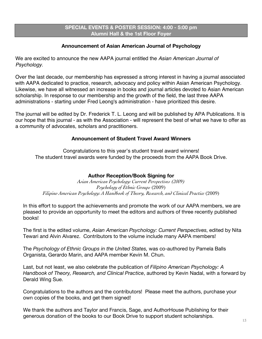# **SPECIAL EVENTS & POSTER SESSION: 4:00 - 5:00 pm Alumni Hall & the 1st Floor Foyer**

# **Announcement of Asian American Journal of Psychology**

We are excited to announce the new AAPA journal entitled the *Asian American Journal of Psychology.*

Over the last decade, our membership has expressed a strong interest in having a journal associated with AAPA dedicated to practice, research, advocacy and policy within Asian American Psychology. Likewise, we have all witnessed an increase in books and journal articles devoted to Asian American scholarship. In response to our membership and the growth of the field, the last three AAPA administrations - starting under Fred Leong's administration - have prioritized this desire.

The journal will be edited by Dr. Frederick T. L. Leong and will be published by APA Publications. It is our hope that this journal - as with the Association - will represent the best of what we have to offer as a community of advocates, scholars and practitioners.

# **Announcement of Student Travel Award Winners**

Congratulations to this year's student travel award winners! The student travel awards were funded by the proceeds from the AAPA Book Drive.

# **Author Reception/Book Signing for**

*Asian American Psychology: Current Perspectives (2009) Psychology of Ethnic Groups* (2009) *Filipino American Psychology: A Handbook of Theory, Research, and Clinical Practice* (2009)

In this effort to support the achievements and promote the work of our AAPA members, we are pleased to provide an opportunity to meet the editors and authors of three recently published books!

The first is the edited volume, *Asian American Psychology: Current Perspectives*, edited by Nita Tewari and Alvin Alvarez. Contributors to the volume include many AAPA members!

The *Psychology of Ethnic Groups in the United States,* was co-authored by Pamela Balls Organista, Gerardo Marin, and AAPA member Kevin M. Chun.

Last, but not least, we also celebrate the publication of *Filipino American Psychology: A Handbook of Theory, Research, and Clinical Practice*, authored by Kevin Nadal, with a forward by Derald Wing Sue.

Congratulations to the authors and the contributors! Please meet the authors, purchase your own copies of the books, and get them signed!

We thank the authors and Taylor and Francis, Sage, and AuthorHouse Publishing for their generous donation of the books to our Book Drive to support student scholarships.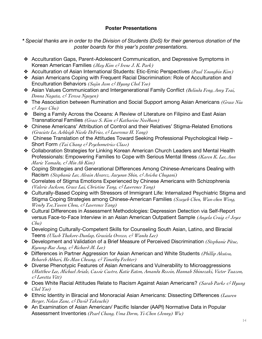# **Poster Presentations**

- *\* Special thanks are in order to the Division of Students (DoS) for their generous donation of the poster boards for this year's poster presentations.*
- ❖ Acculturation Gaps, Parent-Adolescent Communication, and Depressive Symptoms in Korean American Families *(May Kim & Irene J. K. Park)*
- ❖ Acculturation of Asian International Students: Etic-Emic Perspectives *(Paul Youngbin Kim)*
- ❖ Asian Americans Coping with Frequent Racial Discrimination: Role of Acculturation and Enculturation Behaviors *(Sujin Jeon & Hyung Chol Yoo)*
- ❖ Asian Values Communication and Intergenerational Family Conflict *(Belinda Feng, Amy Tsai, Donna Nagata, & Teresa Nguyen)*
- ❖ The Association between Rumination and Social Support among Asian Americans *(Grace Niu & Joyce Chu)*
- ❖ Being a Family Across the Oceans: A Review of Literature on Filipino and East Asian Transnational Families *(Grace S. Kim & Katharine Needham)*
- ❖ Chinese Americans' Attribution of Control and their Relatives' Stigma-Related Emotions *(Graciete Lo, Ashleigh Nicole DeFries, & Lawrence H. Yang)*
- ❖ Chinese Translation of the Attitudes Toward Seeking Professional Psychological Help Short Form *(Tai Chang & Psychometrics Class)*
- ❖ Collaboration Strategies for Linking Korean American Church Leaders and Mental Health Professionals: Empowering Families to Cope with Serious Mental Illness *(Karen K. Lee, Ann Marie Yamada, & Min Ah Kim)*
- ❖ Coping Strategies and Generational Differences Among Chinese-Americans Dealing with Racism *(Stephanie Lee, Alvain Alvarez, Jaeyoun Shin, & Avisha Chugani)*
- ❖ Correlates of Stigma Emotions Experienced by Chinese Americans with Schizophrenia *(Valerie Jackson, Grace Lai, Christine Tang, & Lawrence Yang)*
- ❖ Culturally-Based Coping with Stressors of Immigrant Life: Internalized Psychiatric Stigma and Stigma Coping Strategies among Chinese-American Families *(Szuyeh Chen, Wan-chen Weng, Wendy Tse,Yuwen Chou, & Lawrence Yang)*
- ❖ Cultural Differences in Assessment Methodologies: Depression Detection via Self-Report versus Face-to-Face Interview in an Asian American Outpatient Sample *(Angela Craig & Joyce Chu)*
- ❖ Developing Culturally-Competent Skills for Counseling South Asian, Latino, and Biracial Teens *(Ulash Thakore-Dunlap, Graciela Orozco, & Wanda Lee)*
- ❖ Development and Validation of a Brief Measure of Perceived Discrimination *(Stephanie Pituc, Kyoung-Rae Jung, & Richard M. Lee)*
- ❖Differences in Partner Aggression for Asian American and White Students *(Phillip Akutsu, Behareh Abhari, Ho Man Cheung, & Timothy Fechter)*
- ❖ Diverse Phenotypic Features of Asian Americans and Vulnerability to Microaggressions *(Matthew Lee, Michael Ariale, Cassie Castro, Katie Eaton, Amanda Ressin, Hannah Shinozaki, Victor Tuazon, & Loretta Vitt)*
- ❖ Does White Racial Attitudes Relate to Racism Against Asian Americans? *(Sarah Parks & Hyung Chol Yoo)*
- ❖ Ethnic Identity in Biracial and Monoracial Asian Americans: Dissecting Differences *(Lauren Berger, Nolan Zane, & David Takeuchi)*
- ❖ An Examination of Asian American/ Pacific Islander (AAPI) Normative Data in Popular Assessment Inventories *(Pearl Chang, Uma Dorm, Yi-Chen (Jenny) Wu)*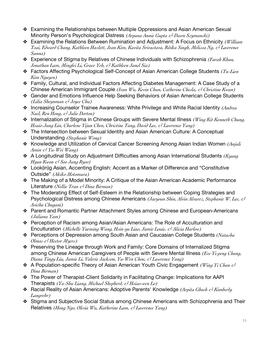- ❖ Examining the Relationships between Multiple Oppressions and Asian American Sexual Minority Person's Psychological Distress *(Arpana Annie Gupta & Dawn Szymanski)*
- ❖ Examining the Relations Between Rumination and Adjustment: A Focus on Ethnicity *(William Tsai, Edward Chang, Kathleen Hazlett, Jean Kim, Kavita Srivastava, Ritika Singh, Melissa Ng, & Lawrence Sanna)*
- ❖ Experience of Stigma by Relatives of Chinese Individuals with Schizophrenia *(Farah Khan, Jonathan Lam, Mingfei Li, Grace Yeh, & Kathleen Janel Sia)*
- ❖ Factors Affecting Psychological Self-Concept of Asian American College Students *(Tu-Lien Kim Nguyen)*
- ❖ Family, Cultural, and Individual Factors Affecting Diabetes Management: A Case Study of a Chinese American Immigrant Couple *(Ivan Wu, Kevin Chun, Catherine Chesla, & Christine Kwan)*
- ❖ Gender and Emotions Influence Help Seeking Behaviors of Asian American College Students *(Lilia Sheynman & Joyce Chu)*
- ❖ Increasing Counselor Trainee Awareness: White Privilege and White Racial Identity *(Andrea Nael, Ren Hong, & Julie Dorton)*
- ❖ Internalization of Stigma in Chinese Groups with Severe Mental Illness *(Wing Kit Kenneth Chung, Hsaio-Jung Lin, Charlene Yijun Chen, Christine Tang, David Lee, & Lawrence Yang)*
- ❖ The Intersection between Sexual Identity and Asian American Culture: A Conceptual Understanding *(Stephanie Wong)*
- ❖ Knowledge and Utilization of Cervical Cancer Screening Among Asian Indian Women *(Anjuli Amin & Yu-Wei Wang)*
- ❖ A Longitudinal Study on Adjustment Difficulties among Asian International Students *(Kyung Hyun Kwon & Soo Jung Ryoo)*
- ❖ Look(in)g Asian, Accenting English: Accent as a Marker of Difference and "Constitutive Outside" *(Akiko Motomura)*
- ❖ The Making of a Model Minority: A Critique of the Asian American Academic Performance Literature *(Nellie Tran & Dina Birman)*
- ❖ The Moderating Effect of Self-Esteem in the Relationship between Coping Strategies and Psychological Distress among Chinese Americans *(Jaeyoun Shin, Alvin Alvarez, Stephanie W. Lee, & Avisha Chugani)*
- ❖ Parent and Romantic Partner Attachment Styles among Chinese and European-Americans *(Juliana Yam)*
- ❖ Perception of Racism among Asian/Asian Americans: The Role of Acculturation and Enculturation *(Michelle Yueming Wang, Hsin-yu Liao, Jamie Louie, & Alicia Harlow)*
- ❖ Perceptions of Depression among South Asian and Caucasian College Students *(Natasha Olmos & Hector Myers)*
- ❖ Preserving the Lineage through Work and Family: Core Domains of Internalized Stigma among Chinese American Caregivers of People with Severe Mental Illness *(Eve Yi-peng Chang, Diana Tingy Liu, Jamie Li, Valerie Jackson, Yu-Wen Chou, & Lawrence Yang)*
- ❖ A Population-specific Theory of Asian American Youth Civic Engagement *(Wing Yi Chan & Dina Birman)*
- ❖ The Power of Therapist-Client Solidarity in Facilitating Change: Implications for AAPI Therapists *(Ya-Shu Liang, Michael Shepherd, & Hsiao-wen Lo)*
- ❖ Racial Reality of Asian Americans: Adoptive Parents' Knowledge *(Arpita Ghosh & Kimberly Langrehr)*
- ❖ Stigma and Subjective Social Status among Chinese Americans with Schizophrenia and Their Relatives *(Hong Ngo, Olivia Wu, Katherine Lam, & Lawrence Yang)*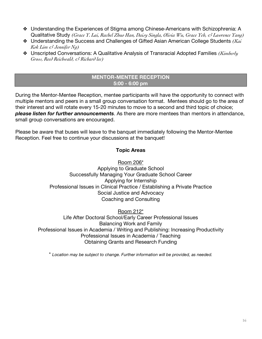- ❖ Understanding the Experiences of Stigma among Chinese-Americans with Schizophrenia: A Qualitative Study *(Grace Y. Lai, Rachel Zhuo Han, Daisy Singla, Olivia Wu, Grace Yeh, & Lawrence Yang)*
- ❖ Understanding the Success and Challenges of Gifted Asian American College Students *(Kai Kok Lim & Jennifer Ng)*
- ❖ Unscripted Conversations: A Qualitative Analysis of Transracial Adopted Families *(Kimberly Gross, Reed Reichwald, & Richard lee)*

#### **MENTOR-MENTEE RECEPTION 5:00 - 6:00 pm**

During the Mentor-Mentee Reception, mentee participants will have the opportunity to connect with multiple mentors and peers in a small group conversation format. Mentees should go to the area of their interest and will rotate every 15-20 minutes to move to a second and third topic of choice; *please listen for further announcements*. As there are more mentees than mentors in attendance, small group conversations are encouraged.

Please be aware that buses will leave to the banquet immediately following the Mentor-Mentee Reception. Feel free to continue your discussions at the banquet!

# **Topic Areas**

Room 206\* Applying to Graduate School Successfully Managing Your Graduate School Career Applying for Internship Professional Issues in Clinical Practice / Establishing a Private Practice Social Justice and Advocacy Coaching and Consulting

Room 212\* Life After Doctoral School/Early Career Professional Issues Balancing Work and Family Professional Issues in Academia / Writing and Publishing: Increasing Productivity Professional Issues in Academia / Teaching Obtaining Grants and Research Funding

\* *Location may be subject to change. Further information will be provided, as needed.*